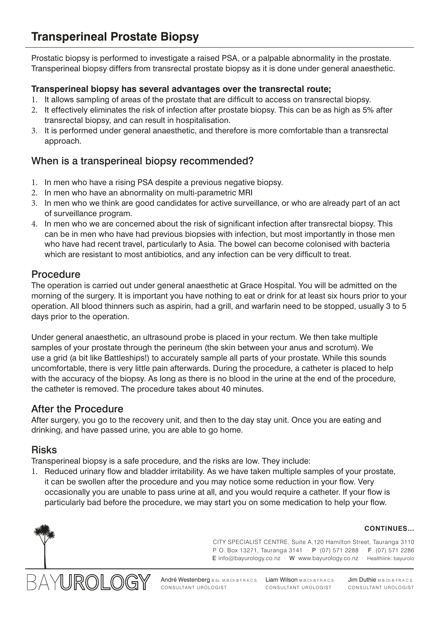Prostatic biopsy is performed to investigate a raised PSA, or a palpable abnormality in the prostate. Transperineal biopsy differs from transrectal prostate biopsy as it is done under general anaesthetic.

#### **Transperineal biopsy has several advantages over the transrectal route;**

- 1. It allows sampling of areas of the prostate that are difficult to access on transrectal biopsy.
- 2. It effectively eliminates the risk of infection after prostate biopsy. This can be as high as 5% after transrectal biopsy, and can result in hospitalisation.
- 3. It is performed under general anaesthetic, and therefore is more comfortable than a transrectal approach.

# When is a transperineal biopsy recommended?

- 1. In men who have a rising PSA despite a previous negative biopsy.
- 2. In men who have an abnormality on multi-parametric MRI
- 3. In men who we think are good candidates for active surveillance, or who are already part of an act of surveillance program.
- 4. In men who we are concerned about the risk of significant infection after transrectal biopsy. This can be in men who have had previous biopsies with infection, but most importantly in those men who have had recent travel, particularly to Asia. The bowel can become colonised with bacteria which are resistant to most antibiotics, and any infection can be very difficult to treat.

#### Procedure

The operation is carried out under general anaesthetic at Grace Hospital. You will be admitted on the morning of the surgery. It is important you have nothing to eat or drink for at least six hours prior to your operation. All blood thinners such as aspirin, had a grill, and warfarin need to be stopped, usually 3 to 5 days prior to the operation.

Under general anaesthetic, an ultrasound probe is placed in your rectum. We then take multiple samples of your prostate through the perineum (the skin between your anus and scrotum). We use a grid (a bit like Battleships!) to accurately sample all parts of your prostate. While this sounds uncomfortable, there is very little pain afterwards. During the procedure, a catheter is placed to help with the accuracy of the biopsy. As long as there is no blood in the urine at the end of the procedure, the catheter is removed. The procedure takes about 40 minutes.

#### After the Procedure

After surgery, you go to the recovery unit, and then to the day stay unit. Once you are eating and drinking, and have passed urine, you are able to go home.

#### Risks

Transperineal biopsy is a safe procedure, and the risks are low. They include:

1. Reduced urinary flow and bladder irritability. As we have taken multiple samples of your prostate, it can be swollen after the procedure and you may notice some reduction in your flow. Very occasionally you are unable to pass urine at all, and you would require a catheter. If your flow is particularly bad before the procedure, we may start you on some medication to help your flow.